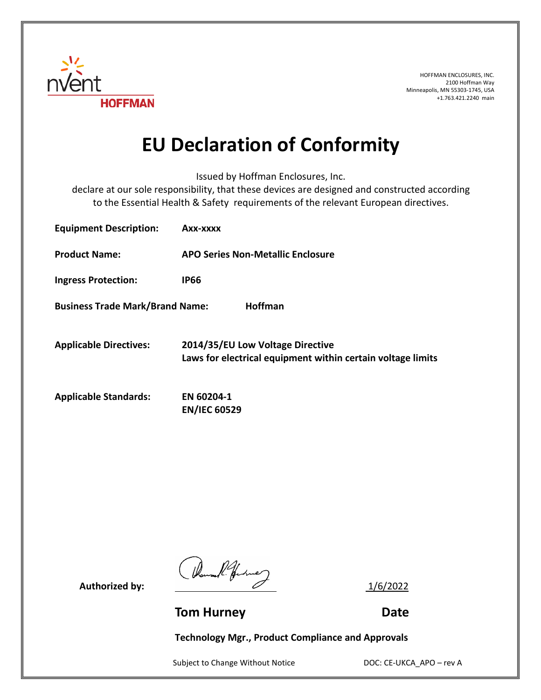

HOFFMAN ENCLOSURES, INC. 2100 Hoffman Way Minneapolis, MN 55303-1745, USA +1.763.421.2240 main

## **EU Declaration of Conformity**

Issued by Hoffman Enclosures, Inc.

declare at our sole responsibility, that these devices are designed and constructed according to the Essential Health & Safety requirements of the relevant European directives.

| <b>Equipment Description:</b>                            | Axx-xxxx                                                                                        |
|----------------------------------------------------------|-------------------------------------------------------------------------------------------------|
| <b>Product Name:</b>                                     | <b>APO Series Non-Metallic Enclosure</b>                                                        |
| <b>Ingress Protection:</b>                               | <b>IP66</b>                                                                                     |
| <b>Business Trade Mark/Brand Name:</b><br><b>Hoffman</b> |                                                                                                 |
| <b>Applicable Directives:</b>                            | 2014/35/EU Low Voltage Directive<br>Laws for electrical equipment within certain voltage limits |
| <b>Applicable Standards:</b>                             | EN 60204-1<br><b>EN/IEC 60529</b>                                                               |

Authorized by:  $\frac{1}{6/2022}$ 

**Tom Hurney Communication Communication Communication Communication Communication Communication Communication Communication Communication Communication Communication Communication Communication Communication Communication** 

**Technology Mgr., Product Compliance and Approvals**

Subject to Change Without Notice DOC: CE-UKCA\_APO – rev A